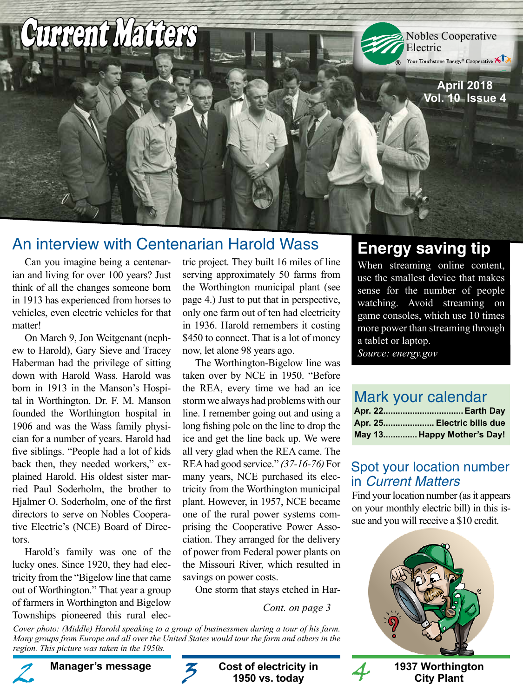

## An interview with Centenarian Harold Wass

Can you imagine being a centenarian and living for over 100 years? Just think of all the changes someone born in 1913 has experienced from horses to vehicles, even electric vehicles for that matter!

On March 9, Jon Weitgenant (nephew to Harold), Gary Sieve and Tracey Haberman had the privilege of sitting down with Harold Wass. Harold was born in 1913 in the Manson's Hospital in Worthington. Dr. F. M. Manson founded the Worthington hospital in 1906 and was the Wass family physician for a number of years. Harold had five siblings. "People had a lot of kids back then, they needed workers," explained Harold. His oldest sister married Paul Soderholm, the brother to Hjalmer O. Soderholm, one of the first directors to serve on Nobles Cooperative Electric's (NCE) Board of Directors.

Harold's family was one of the lucky ones. Since 1920, they had electricity from the "Bigelow line that came out of Worthington." That year a group of farmers in Worthington and Bigelow Townships pioneered this rural electric project. They built 16 miles of line serving approximately 50 farms from the Worthington municipal plant (see page 4.) Just to put that in perspective, only one farm out of ten had electricity in 1936. Harold remembers it costing \$450 to connect. That is a lot of money now, let alone 98 years ago.

The Worthington-Bigelow line was taken over by NCE in 1950. "Before the REA, every time we had an ice storm we always had problems with our line. I remember going out and using a long fishing pole on the line to drop the ice and get the line back up. We were all very glad when the REA came. The REA had good service." *(37-16-76)* For many years, NCE purchased its electricity from the Worthington municipal plant. However, in 1957, NCE became one of the rural power systems comprising the Cooperative Power Association. They arranged for the delivery of power from Federal power plants on the Missouri River, which resulted in savings on power costs.

One storm that stays etched in Har-

**Cost of electricity in 1950 vs. today**

*Cont. on page 3*

*Cover photo: (Middle) Harold speaking to a group of businessmen during a tour of his farm. Many groups from Europe and all over the United States would tour the farm and others in the region. This picture was taken in the 1950s.*

# **Energy saving tip**

When streaming online content, use the smallest device that makes sense for the number of people watching. Avoid streaming on game consoles, which use 10 times more power than streaming through a tablet or laptop.

*Source: energy.gov*

### Mark your calendar

| Apr. 25 Electric bills due |
|----------------------------|
| May 13 Happy Mother's Day! |

#### Spot your location number in Current Matters

Find your location number (as it appears on your monthly electric bill) in this issue and you will receive a \$10 credit.



**City Plant**



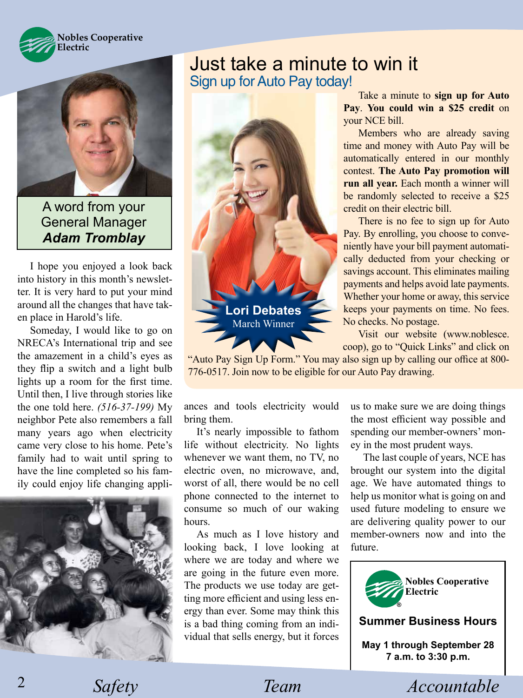



A word from your General Manager *Adam Tromblay*

I hope you enjoyed a look back into history in this month's newsletter. It is very hard to put your mind around all the changes that have taken place in Harold's life.

Someday, I would like to go on NRECA's International trip and see the amazement in a child's eyes as they flip a switch and a light bulb lights up a room for the first time. Until then, I live through stories like the one told here. *(516-37-199)* My neighbor Pete also remembers a fall many years ago when electricity came very close to his home. Pete's family had to wait until spring to have the line completed so his family could enjoy life changing appli-



## Just take a minute to win it Sign up for Auto Pay today!



Take a minute to **sign up for Auto Pay**. **You could win a \$25 credit** on your NCE bill.

Members who are already saving time and money with Auto Pay will be automatically entered in our monthly contest. **The Auto Pay promotion will run all year.** Each month a winner will be randomly selected to receive a \$25 credit on their electric bill.

 There is no fee to sign up for Auto Pay. By enrolling, you choose to conveniently have your bill payment automatically deducted from your checking or savings account. This eliminates mailing payments and helps avoid late payments. Whether your home or away, this service keeps your payments on time. No fees. No checks. No postage.

 Visit our website (www.noblesce. coop), go to "Quick Links" and click on

"Auto Pay Sign Up Form." You may also sign up by calling our office at 800- 776-0517. Join now to be eligible for our Auto Pay drawing.

ances and tools electricity would bring them.

It's nearly impossible to fathom life without electricity. No lights whenever we want them, no TV, no electric oven, no microwave, and, worst of all, there would be no cell phone connected to the internet to consume so much of our waking hours.

As much as I love history and looking back, I love looking at where we are today and where we are going in the future even more. The products we use today are getting more efficient and using less energy than ever. Some may think this is a bad thing coming from an individual that sells energy, but it forces us to make sure we are doing things the most efficient way possible and spending our member-owners' money in the most prudent ways.

The last couple of years, NCE has brought our system into the digital age. We have automated things to help us monitor what is going on and used future modeling to ensure we are delivering quality power to our member-owners now and into the future.



2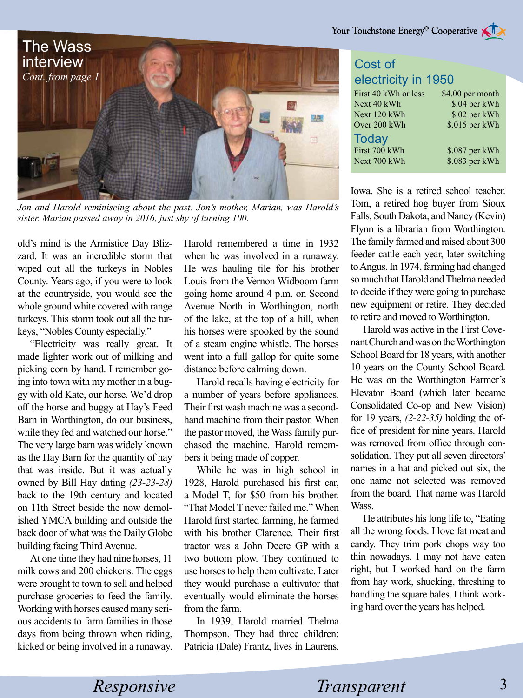

*Jon and Harold reminiscing about the past. Jon's mother, Marian, was Harold's sister. Marian passed away in 2016, just shy of turning 100.*

old's mind is the Armistice Day Blizzard. It was an incredible storm that wiped out all the turkeys in Nobles County. Years ago, if you were to look at the countryside, you would see the whole ground white covered with range turkeys. This storm took out all the turkeys, "Nobles County especially."

"Electricity was really great. It made lighter work out of milking and picking corn by hand. I remember going into town with my mother in a buggy with old Kate, our horse. We'd drop off the horse and buggy at Hay's Feed Barn in Worthington, do our business, while they fed and watched our horse." The very large barn was widely known as the Hay Barn for the quantity of hay that was inside. But it was actually owned by Bill Hay dating *(23-23-28)*  back to the 19th century and located on 11th Street beside the now demolished YMCA building and outside the back door of what was the Daily Globe building facing Third Avenue.

At one time they had nine horses, 11 milk cows and 200 chickens. The eggs were brought to town to sell and helped purchase groceries to feed the family. Working with horses caused many serious accidents to farm families in those days from being thrown when riding, kicked or being involved in a runaway. Harold remembered a time in 1932 when he was involved in a runaway. He was hauling tile for his brother Louis from the Vernon Widboom farm going home around 4 p.m. on Second Avenue North in Worthington, north of the lake, at the top of a hill, when his horses were spooked by the sound of a steam engine whistle. The horses went into a full gallop for quite some distance before calming down.

Harold recalls having electricity for a number of years before appliances. Their first wash machine was a secondhand machine from their pastor. When the pastor moved, the Wass family purchased the machine. Harold remembers it being made of copper.

While he was in high school in 1928, Harold purchased his first car, a Model T, for \$50 from his brother. "That Model T never failed me." When Harold first started farming, he farmed with his brother Clarence. Their first tractor was a John Deere GP with a two bottom plow. They continued to use horses to help them cultivate. Later they would purchase a cultivator that eventually would eliminate the horses from the farm.

In 1939, Harold married Thelma Thompson. They had three children: Patricia (Dale) Frantz, lives in Laurens,

### Cost of electricity in 1950

| First 40 kWh or less | \$4.00 per month |
|----------------------|------------------|
| Next 40 kWh          | \$.04 per kWh    |
| Next 120 kWh         | \$.02 per kWh    |
| Over 200 kWh         | \$.015 per kWh   |
| <b>Today</b>         |                  |
| First 700 kWh        | \$.087 per kWh   |
| Next 700 kWh         | \$.083 per kWh   |

Iowa. She is a retired school teacher. Tom, a retired hog buyer from Sioux Falls, South Dakota, and Nancy (Kevin) Flynn is a librarian from Worthington. The family farmed and raised about 300 feeder cattle each year, later switching to Angus. In 1974, farming had changed so much that Harold and Thelma needed to decide if they were going to purchase new equipment or retire. They decided to retire and moved to Worthington.

Harold was active in the First Covenant Church and was on the Worthington School Board for 18 years, with another 10 years on the County School Board. He was on the Worthington Farmer's Elevator Board (which later became Consolidated Co-op and New Vision) for 19 years, *(2-22-35)* holding the office of president for nine years. Harold was removed from office through consolidation. They put all seven directors' names in a hat and picked out six, the one name not selected was removed from the board. That name was Harold Wass.

He attributes his long life to, "Eating all the wrong foods. I love fat meat and candy. They trim pork chops way too thin nowadays. I may not have eaten right, but I worked hard on the farm from hay work, shucking, threshing to handling the square bales. I think working hard over the years has helped.